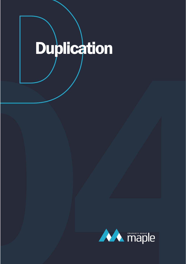## Duplication

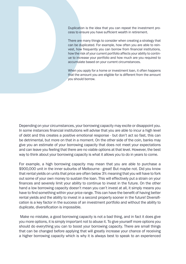Duplication is the idea that you can repeat the investment process to ensure you have sufficient wealth in retirement.

Duplication is the idea that you can repeat the investment process to ensure you have sufficient wealth in retirement.<br>There are many things to consider when creating a strategy than can be duplicated. For example, how oft There are many things to consider when creating a strategy that can be duplicated. For example, how often you are able to rein vest, how frequently you can borrow from financial institutions, how the risk of your current portfolio affects your ability to contin ue to increase your portfolio and how much are you required to accumulate based on your current circumstances.

When you apply for a home or investment loan, it often happens that the amount you are eligible for is different from the amount you should borrow.

Depending on your circumstances, your borrowing capacity may excite or disappoint you. In some instances financial institutions will advise that you are able to incur a high level of debt and this creates a positive emotional response - but don't act so fast, this can be detrimental, but more on that in a moment. On the other side of the coin, banks may give you an estimate of your borrowing capacity that does not meet your expectations and can leave you feeling that there are no viable options at that level. However, the best way to think about your borrowing capacity is what it allows you to do in years to come.

For example, a high borrowing capacity may mean that you are able to purchase a \$900,000 unit in the inner suburbs of Melbourne - great! But maybe not. Did you know that rental yields on units that price are often below 3% meaning that you will have to fork out some of your own money to sustain the loan. This will effectively put a strain on your finances and severely limit your ability to continue to invest in the future. On the other hand a low borrowing capacity doesn't mean you can't invest at all, it simply means you have to find something within your price range. This can have the benefit of having better rental yields and the ability to invest in a second property sooner in the future! Diversifi cation is a key factor in the success of an investment portfolio and without the ability to duplicate, diversification is impossible.

 Make no mistake, a good borrowing capacity is not a bad thing, and in fact it does give you more options, it is simply important not to abuse it. To give yourself more options you should do everything you can to boost your borrowing capacity. There are small things that can be changed before applying that will greatly increase your chance of receiving a higher borrowing capacity which is why it is always best to speak to an experienced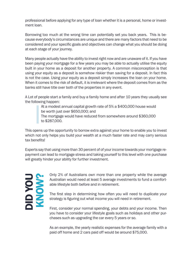professional before applying for any type of loan whether it is a personal, home or investment loan.

Borrowing too much at the wrong time can potentially set you back years. This is because everybody's circumstances are unique and there are many factors that need to be considered and your specific goals and objectives can change what you should be doing at each stage of your journey.

Many people actually have the ability to invest right now and are unaware of it. If you have been paying your mortgage for a few years you may be able to actually utilise the equity built in your home as a deposit for another property. A common misconception is that using your equity as a deposit is somehow riskier than saving for a deposit. In fact this is not the case. Using your equity as a deposit simply increases the loan on your home. When it comes to the risk of default, it is irrelevant where the deposit comes from as the banks still have title over both of the properties in any event.

A Lot of people start a family and buy a family home and after 10 years they usually see the following happen:

> At a modest annual capital growth rate of 5% a \$400,000 house would be worth just over \$650,000; and The mortgage would have reduced from somewhere around \$360,000 to \$287,000.

This opens up the opportunity to borrow extra against your home to enable you to invest which not only helps you build your wealth at a much faster rate and may carry serious tax benefits!

Experts say that using more than 30 percent of of your income towards your mortgage repayment can lead to mortgage stress and taking yourself to this level with one purchase will greatly hinder your ability for further investment.

## DID YOU KNOW?

Only 2% of Australians own more than one property while the average Australian would need at least 5 average investments to fund a comfortable lifestyle both before and in retirement.

The first step in determining how often you will need to duplicate your strategy is figuring out what income you will need in retirement.

First, consider your normal spending, your debts and your income. Then you have to consider your lifestyle goals such as holidays and other purchases such as upgrading the car every 5 years or so.

As an example, the yearly realistic expenses for the average family with a paid off home and 2 cars paid off would be around \$75,000.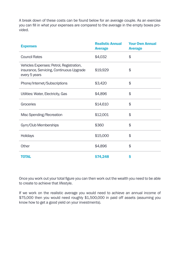A break down of these costs can be found below for an average couple. As an exercise you can fill in what your expenses are compared to the average in the empty boxes provided.

| <b>Expenses</b>                                                                                       | <b>Realistic Annual</b><br><b>Average</b> | <b>Your Own Annual</b><br><b>Average</b> |
|-------------------------------------------------------------------------------------------------------|-------------------------------------------|------------------------------------------|
| <b>Council Rates</b>                                                                                  | \$4,032                                   | \$                                       |
| Vehicles Expenses: Petrol, Registration,<br>insurance, Servicing, Continuous Upgrade<br>every 5 years | \$19,929                                  | \$                                       |
| Phone/Internet/Subscriptions                                                                          | \$3,420                                   | \$                                       |
| Utilities: Water, Electricity, Gas                                                                    | \$4,896                                   | \$                                       |
| Groceries                                                                                             | \$14,610                                  | \$                                       |
| Misc Spending/Recreation                                                                              | \$12,001                                  | \$                                       |
| Gym/Club Memberships                                                                                  | \$360                                     | \$                                       |
| Holidays                                                                                              | \$15,000                                  | \$                                       |
| Other                                                                                                 | \$4,896                                   | \$                                       |
| <b>TOTAL</b>                                                                                          | \$74,248                                  | Ś                                        |

Once you work out your total figure you can then work out the wealth you need to be able to create to achieve that lifestyle.

If we work on the realistic average you would need to achieve an annual income of \$75,000 then you would need roughly \$1,500,000 in paid off assets (assuming you know how to get a good yield on your investments).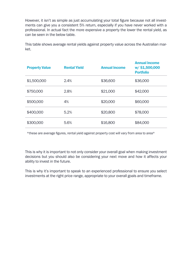However, it isn't as simple as just accumulating your total figure because not all investments can give you a consistent 5% return, especially if you have never worked with a professional. In actual fact the more expensive a property the lower the rental yield, as can be seen in the below table.

This table shows average rental yields against property value across the Australian market.

| <b>Property Value</b> | <b>Rental Yield</b> | <b>Annual income</b> | <b>Annual income</b><br>w/\$1,500,000<br><b>Portfolio</b> |
|-----------------------|---------------------|----------------------|-----------------------------------------------------------|
| \$1,500,000           | 2.4%                | \$36,600             | \$36,000                                                  |
| \$750,000             | 2.8%                | \$21,000             | \$42,000                                                  |
| \$500,000             | 4%                  | \$20,000             | \$60,000                                                  |
| \$400,000             | 5.2%                | \$20,800             | \$78,000                                                  |
| \$300,000             | 5.6%                | \$16,800             | \$84,000                                                  |

\*these are average figures, rental yield against property cost will vary from area to area\*

This is why it is important to not only consider your overall goal when making investment decisions but you should also be considering your next move and how it affects your ability to invest in the future.

This is why it's important to speak to an experienced professional to ensure you select investments at the right price range, appropriate to your overall goals and timeframe.